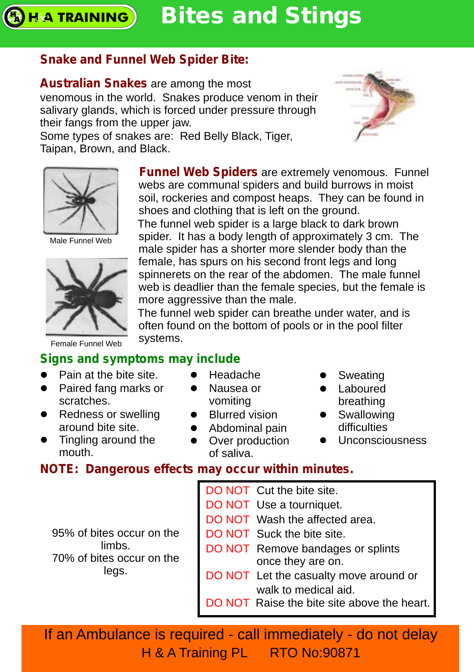#### **Bites and Stings H&A TRAINING**

## **Snake and Funnel Web Spider Bite:**

**Australian Snakes** are among the most venomous in the world. Snakes produce venom in their salivary glands, which is forced under pressure through their fangs from the upper jaw.

Some types of snakes are: Red Belly Black, Tiger, Taipan, Brown, and Black.

> **Funnel Web Spiders** are extremely venomous. Funnel webs are communal spiders and build burrows in moist soil, rockeries and compost heaps. They can be found in shoes and clothing that is left on the ground.

The funnel web spider is a large black to dark brown spider. It has a body length of approximately 3 cm. The male spider has a shorter more slender body than the female, has spurs on his second front legs and long spinnerets on the rear of the abdomen. The male funnel web is deadlier than the female species, but the female is more aggressive than the male.

The funnel web spider can breathe under water, and is often found on the bottom of pools or in the pool filter systems.

## **Signs and symptoms may include**

- Pain at the bite site.
- Paired fang marks or scratches.
- Redness or swelling around bite site.
- Tingling around the mouth.
- Headache
- Nausea or vomiting
- Blurred vision
- Abdominal pain
- Over production of saliva.
- Sweating
- Laboured
- breathing
- Swallowing difficulties
- Unconsciousness

## **NOTE: Dangerous effects may occur within minutes.**

| 95% of bites occur on the<br>limbs.<br>70% of bites occur on the<br>legs. | DO NOT Cut the bite site.<br>DO NOT Use a tourniquet.<br>DO NOT Wash the affected area.<br>DO NOT Suck the bite site.<br>DO NOT Remove bandages or splints<br>once they are on.<br>DO NOT Let the casualty move around or<br>walk to medical aid.<br>DO NOT Raise the bite site above the heart. |
|---------------------------------------------------------------------------|--------------------------------------------------------------------------------------------------------------------------------------------------------------------------------------------------------------------------------------------------------------------------------------------------|
|---------------------------------------------------------------------------|--------------------------------------------------------------------------------------------------------------------------------------------------------------------------------------------------------------------------------------------------------------------------------------------------|

If an Ambulance is required - call immediately - do not delay H & A Training PL RTO No:90871



Male Funnel Web



Female Funnel Web

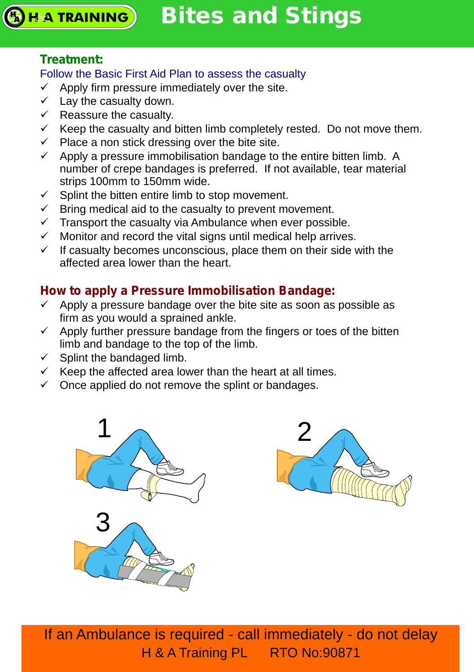#### **Treatment:**

#### Follow the Basic First Aid Plan to assess the casualty

- $\checkmark$  Apply firm pressure immediately over the site.
- $\checkmark$  Lay the casualty down.
- $\checkmark$  Reassure the casualty.
- $\checkmark$  Keep the casualty and bitten limb completely rested. Do not move them.
- $\checkmark$  Place a non stick dressing over the bite site.
- $\checkmark$  Apply a pressure immobilisation bandage to the entire bitten limb. A number of crepe bandages is preferred. If not available, tear material strips 100mm to 150mm wide.
- $\checkmark$  Splint the bitten entire limb to stop movement.
- $\checkmark$  Bring medical aid to the casualty to prevent movement.
- $\checkmark$  Transport the casualty via Ambulance when ever possible.
- $\checkmark$  Monitor and record the vital signs until medical help arrives.
- $\checkmark$  If casualty becomes unconscious, place them on their side with the affected area lower than the heart.

# **How to apply a Pressure Immobilisation Bandage:**

- $\checkmark$  Apply a pressure bandage over the bite site as soon as possible as firm as you would a sprained ankle.
- $\checkmark$  Apply further pressure bandage from the fingers or toes of the bitten limb and bandage to the top of the limb.
- $\checkmark$  Splint the bandaged limb.
- $\checkmark$  Keep the affected area lower than the heart at all times.
- $\checkmark$  Once applied do not remove the splint or bandages.



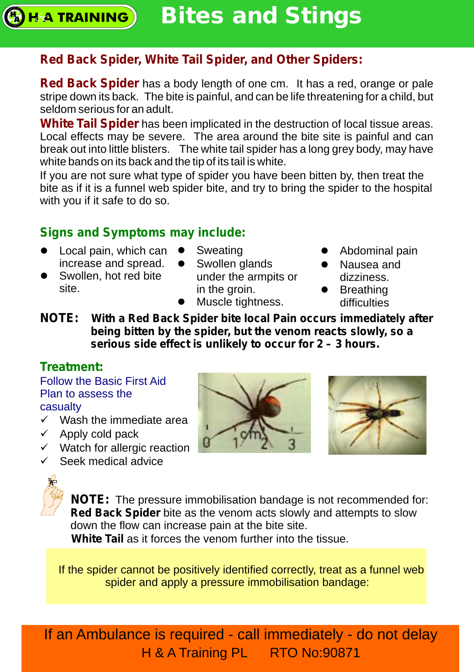#### **Bites and Stings H&A TRAINING**

# **Red Back Spider, White Tail Spider, and Other Spiders:**

**Red Back Spider** has a body length of one cm. It has a red, orange or pale stripe down its back. The bite is painful, and can be life threatening for a child, but seldom serious for an adult.

**White Tail Spider** has been implicated in the destruction of local tissue areas. Local effects may be severe. The area around the bite site is painful and can break out into little blisters. The white tail spider has a long grey body, may have white bands on its back and the tip of its tail is white.

If you are not sure what type of spider you have been bitten by, then treat the bite as if it is a funnel web spider bite, and try to bring the spider to the hospital with you if it safe to do so.

## **Signs and Symptoms may include:**

- $\bullet$  Local pain, which can  $\bullet$ increase and spread.
- Swollen, hot red bite site.
- Sweating • Swollen glands under the armpits or in the groin.
- Muscle tightness.
- Abdominal pain
- Nausea and dizziness.
- Breathing difficulties
- **NOTE: With a Red Back Spider bite local Pain occurs immediately after being bitten by the spider, but the venom reacts slowly, so a serious side effect is unlikely to occur for 2 – 3 hours.**

## **Treatment:**

Follow the Basic First Aid Plan to assess the casualty

- $\checkmark$  Wash the immediate area
- $\checkmark$  Apply cold pack
- $\checkmark$  Watch for allergic reaction
- $\checkmark$  Seek medical advice







**NOTE:** The pressure immobilisation bandage is not recommended for: **Red Back Spider** bite as the venom acts slowly and attempts to slow down the flow can increase pain at the bite site.

**White Tail** as it forces the venom further into the tissue.

If the spider cannot be positively identified correctly, treat as a funnel web spider and apply a pressure immobilisation bandage: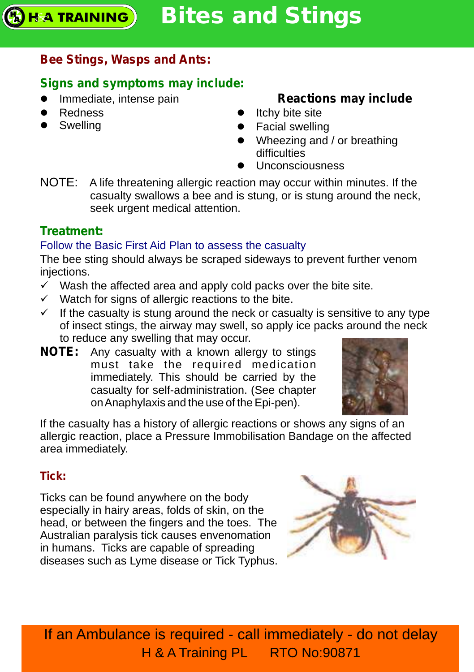# **Bee Stings, Wasps and Ants:**

# **Signs and symptoms may include:**

- Immediate, intense pain
- Redness
- Swelling

# **Reactions may include**

- Itchy bite site
- Facial swelling
- Wheezing and / or breathing difficulties
- Unconsciousness
- NOTE: A life threatening allergic reaction may occur within minutes. If the casualty swallows a bee and is stung, or is stung around the neck, seek urgent medical attention.

# **Treatment:**

# Follow the Basic First Aid Plan to assess the casualty

The bee sting should always be scraped sideways to prevent further venom injections.

- $\checkmark$  Wash the affected area and apply cold packs over the bite site.
- $\checkmark$  Watch for signs of allergic reactions to the bite.
- $\checkmark$  If the casualty is stung around the neck or casualty is sensitive to any type of insect stings, the airway may swell, so apply ice packs around the neck to reduce any swelling that may occur.
- **NOTE:** Any casualty with a known allergy to stings must take the required medication immediately. This should be carried by the casualty for self-administration. (See chapter on Anaphylaxis and the use of the Epi-pen).



If the casualty has a history of allergic reactions or shows any signs of an allergic reaction, place a Pressure Immobilisation Bandage on the affected area immediately.

# **Tick:**

Ticks can be found anywhere on the body especially in hairy areas, folds of skin, on the head, or between the fingers and the toes. The Australian paralysis tick causes envenomation in humans. Ticks are capable of spreading diseases such as Lyme disease or Tick Typhus.

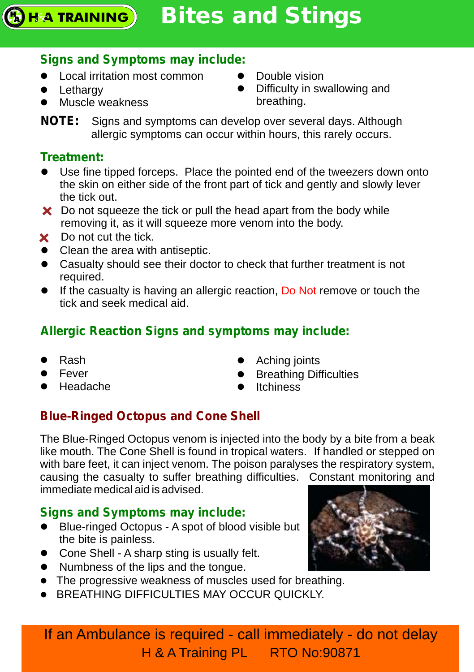# **Bites and Stings**

# **Signs and Symptoms may include:**

- Local irritation most common
- Lethargy

**HA TRAINING** 

• Muscle weakness

- Double vision
- Difficulty in swallowing and breathing.

**NOTE:** Signs and symptoms can develop over several days. Although allergic symptoms can occur within hours, this rarely occurs.

# **Treatment:**

- lUse fine tipped forceps. Place the pointed end of the tweezers down onto the skin on either side of the front part of tick and gently and slowly lever the tick out.
- $\boldsymbol{\times}$  Do not squeeze the tick or pull the head apart from the body while removing it, as it will squeeze more venom into the body.
- X Do not cut the tick
- Clean the area with antiseptic.
- Casualty should see their doctor to check that further treatment is not required.
- If the casualty is having an allergic reaction, Do Not remove or touch the tick and seek medical aid.

# **Allergic Reaction Signs and symptoms may include:**

- Rash
- Fever
- Fever<br>● Headache
- Aching joints
- **•** Breathing Difficulties
- Itchiness

# **Blue-Ringed Octopus and Cone Shell**

The Blue-Ringed Octopus venom is injected into the body by a bite from a beak like mouth. The Cone Shell is found in tropical waters. If handled or stepped on with bare feet, it can inject venom. The poison paralyses the respiratory system, causing the casualty to suffer breathing difficulties. Constant monitoring and immediate medical aid is advised.

# **Signs and Symptoms may include:**

- Blue-ringed Octopus A spot of blood visible but the bite is painless.
- Cone Shell A sharp sting is usually felt.
- Numbness of the lips and the tongue.
- The progressive weakness of muscles used for breathing.
- **BREATHING DIFFICULTIES MAY OCCUR QUICKLY.**

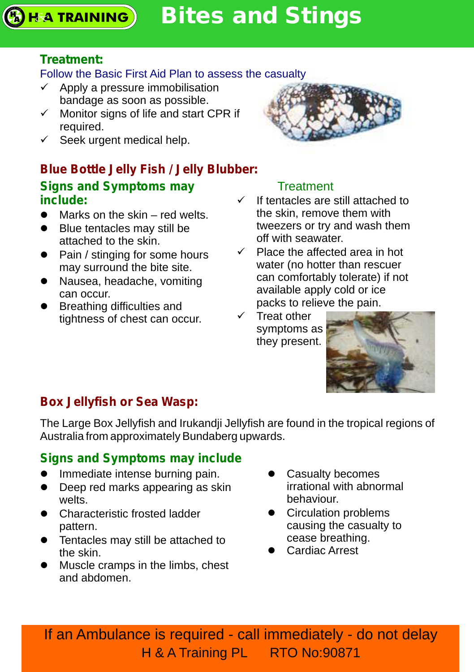**Bites and Stings HA TRAINING** 

## **Treatment:**

#### Follow the Basic First Aid Plan to assess the casualty

- $\checkmark$  Apply a pressure immobilisation bandage as soon as possible.
- $\checkmark$  Monitor signs of life and start CPR if required.
- $\checkmark$  Seek urgent medical help.

# **Blue Bottle Jelly Fish / Jelly Blubber: Signs and Symptoms may include:**

- Marks on the skin red welts.
- Blue tentacles may still be attached to the skin.
- Pain / stinging for some hours may surround the bite site.
- Nausea, headache, vomiting can occur.
- Breathing difficulties and tightness of chest can occur.

## **Treatment**

- $\checkmark$  If tentacles are still attached to the skin, remove them with tweezers or try and wash them off with seawater.
- $\checkmark$  Place the affected area in hot water (no hotter than rescuer can comfortably tolerate) if not available apply cold or ice packs to relieve the pain.
- $\checkmark$  Treat other symptoms as they present.



# **Box Jellyfish or Sea Wasp:**

The Large Box Jellyfish and Irukandji Jellyfish are found in the tropical regions of Australia from approximately Bundaberg upwards.

# **Signs and Symptoms may include**

- l Immediate intense burning pain.
- Deep red marks appearing as skin welts.
- Characteristic frosted ladder pattern.
- Tentacles may still be attached to the skin.
- Muscle cramps in the limbs, chest and abdomen.
- Casualty becomes irrational with abnormal behaviour.
- Circulation problems causing the casualty to cease breathing.
- Cardiac Arrest